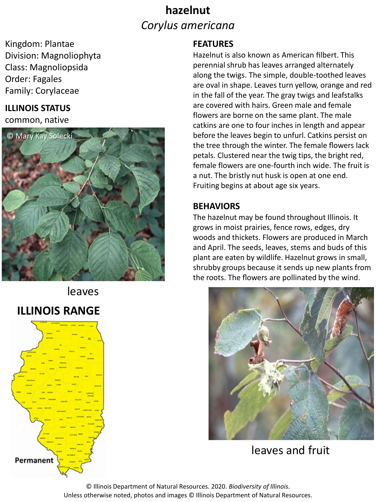## **hazelnut** *Corylus americana*

Kingdom: Plantae Division: Magnoliophyta Class: Magnoliopsida Order: Fagales Family: Corylaceae

### **ILLINOIS STATUS**

common, native



# leaves **ILLINOIS RANGE**



#### **FEATURES**

Hazelnut is also known as American filbert. This perennial shrub has leaves arranged alternately along the twigs. The simple, double-toothed leaves are oval in shape. Leaves turn yellow, orange and red in the fall of the year. The gray twigs and leafstalks are covered with hairs. Green male and female flowers are borne on the same plant. The male catkins are one to four inches in length and appear before the leaves begin to unfurl. Catkins persist on the tree through the winter. The female flowers lack petals. Clustered near the twig tips, the bright red, female flowers are one-fourth inch wide. The fruit is a nut. The bristly nut husk is open at one end. Fruiting begins at about age six years.

### **BEHAVIORS**

The hazelnut may be found throughout Illinois. It grows in moist prairies, fence rows, edges, dry woods and thickets. Flowers are produced in March and April. The seeds, leaves, stems and buds of this plant are eaten by wildlife. Hazelnut grows in small, shrubby groups because it sends up new plants from the roots. The flowers are pollinated by the wind.



leaves and fruit

© Illinois Department of Natural Resources. 2020. *Biodiversity of Illinois*. Unless otherwise noted, photos and images © Illinois Department of Natural Resources.